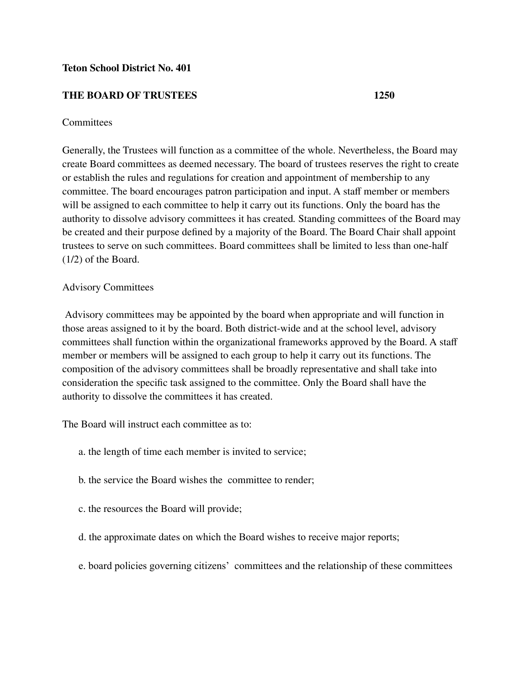# **Teton School District No. 401**

# **THE BOARD OF TRUSTEES 1250**

# **Committees**

Generally, the Trustees will function as a committee of the whole. Nevertheless, the Board may create Board committees as deemed necessary. The board of trustees reserves the right to create or establish the rules and regulations for creation and appointment of membership to any committee. The board encourages patron participation and input. A staff member or members will be assigned to each committee to help it carry out its functions. Only the board has the authority to dissolve advisory committees it has created*.* Standing committees of the Board may be created and their purpose defined by a majority of the Board. The Board Chair shall appoint trustees to serve on such committees. Board committees shall be limited to less than one-half (1/2) of the Board.

# Advisory Committees

Advisory committees may be appointed by the board when appropriate and will function in those areas assigned to it by the board. Both district-wide and at the school level, advisory committees shall function within the organizational frameworks approved by the Board. A staff member or members will be assigned to each group to help it carry out its functions. The composition of the advisory committees shall be broadly representative and shall take into consideration the specific task assigned to the committee. Only the Board shall have the authority to dissolve the committees it has created.

The Board will instruct each committee as to:

- a. the length of time each member is invited to service;
- b. the service the Board wishes the committee to render;
- c. the resources the Board will provide;
- d. the approximate dates on which the Board wishes to receive major reports;
- e. board policies governing citizens' committees and the relationship of these committees